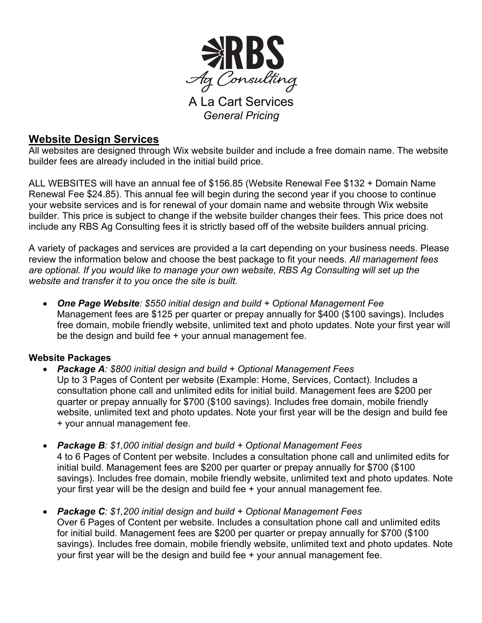

A La Cart Services *General Pricing*

# **Website Design Services**

All websites are designed through Wix website builder and include a free domain name. The website builder fees are already included in the initial build price.

ALL WEBSITES will have an annual fee of \$156.85 (Website Renewal Fee \$132 + Domain Name Renewal Fee \$24.85). This annual fee will begin during the second year if you choose to continue your website services and is for renewal of your domain name and website through Wix website builder. This price is subject to change if the website builder changes their fees. This price does not include any RBS Ag Consulting fees it is strictly based off of the website builders annual pricing.

A variety of packages and services are provided a la cart depending on your business needs. Please review the information below and choose the best package to fit your needs. *All management fees are optional. If you would like to manage your own website, RBS Ag Consulting will set up the website and transfer it to you once the site is built.*

• *One Page Website: \$550 initial design and build + Optional Management Fee* Management fees are \$125 per quarter or prepay annually for \$400 (\$100 savings). Includes free domain, mobile friendly website, unlimited text and photo updates. Note your first year will be the design and build fee + your annual management fee.

# **Website Packages**

- *Package A: \$800 initial design and build + Optional Management Fees* Up to 3 Pages of Content per website (Example: Home, Services, Contact). Includes a consultation phone call and unlimited edits for initial build. Management fees are \$200 per quarter or prepay annually for \$700 (\$100 savings). Includes free domain, mobile friendly website, unlimited text and photo updates. Note your first year will be the design and build fee + your annual management fee.
- *Package B: \$1,000 initial design and build + Optional Management Fees* 4 to 6 Pages of Content per website. Includes a consultation phone call and unlimited edits for initial build. Management fees are \$200 per quarter or prepay annually for \$700 (\$100 savings). Includes free domain, mobile friendly website, unlimited text and photo updates. Note your first year will be the design and build fee + your annual management fee.
- *Package C: \$1,200 initial design and build + Optional Management Fees* Over 6 Pages of Content per website. Includes a consultation phone call and unlimited edits for initial build. Management fees are \$200 per quarter or prepay annually for \$700 (\$100 savings). Includes free domain, mobile friendly website, unlimited text and photo updates. Note your first year will be the design and build fee + your annual management fee.